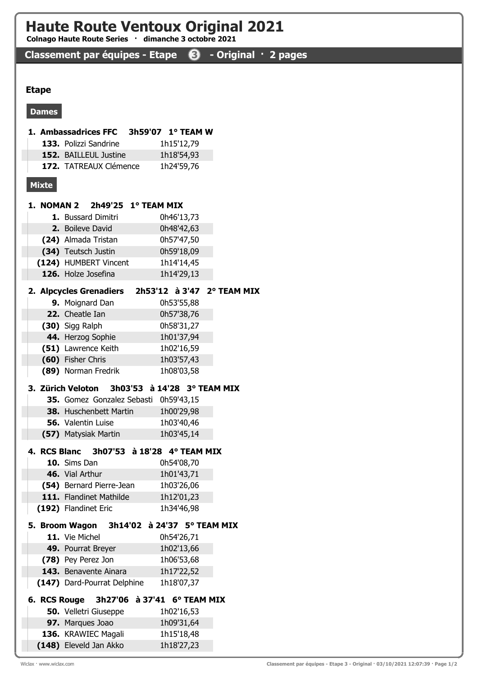# Haute Route Ventoux Original 2021

Colnago Haute Route Series · dimanche 3 octobre 2021

## Classement par équipes - Etape <sup>3</sup> - Original · 2 pages

#### Etape

#### Dames

|              | 1. Ambassadrices FFC                                     | 3h59'07   1° TEAM W         |                          |                            |
|--------------|----------------------------------------------------------|-----------------------------|--------------------------|----------------------------|
|              | 133. Polizzi Sandrine                                    |                             | 1h15'12,79               |                            |
|              | 152. BAILLEUL Justine                                    |                             | 1h18'54,93               |                            |
|              | 172. TATREAUX Clémence                                   |                             | 1h24'59,76               |                            |
| <b>Mixte</b> |                                                          |                             |                          |                            |
|              |                                                          |                             |                          |                            |
|              | 1. NOMAN 2 $2h49'25$ 1° TEAM MIX                         |                             |                          |                            |
|              | 1. Bussard Dimitri                                       |                             | 0h46'13,73               |                            |
|              | 2. Boileve David                                         |                             | 0h48'42,63               |                            |
|              | (24) Almada Tristan                                      |                             | 0h57'47,50               |                            |
|              | (34) Teutsch Justin                                      |                             | 0h59'18,09               |                            |
|              | (124) HUMBERT Vincent                                    |                             | 1h14'14,45               |                            |
|              | 126. Holze Josefina                                      |                             | 1h14'29,13               |                            |
|              | 2. Alpcycles Grenadiers                                  |                             |                          | 2h53'12 à 3'47 2° TEAM MIX |
|              | 9. Moignard Dan                                          |                             | 0h53'55,88               |                            |
|              | 22. Cheatle Ian                                          |                             | 0h57'38,76               |                            |
|              | (30) Sigg Ralph                                          |                             | 0h58'31,27               |                            |
|              | 44. Herzog Sophie                                        |                             | 1h01'37,94               |                            |
|              | (51) Lawrence Keith                                      |                             | 1h02'16,59               |                            |
|              | (60) Fisher Chris                                        |                             | 1h03'57,43               |                            |
|              | (89) Norman Fredrik                                      |                             | 1h08'03,58               |                            |
|              | 3. Zürich Veloton                                        | 3h03'53 à 14'28 3° TEAM MIX |                          |                            |
|              | 35. Gomez Gonzalez Sebasti                               |                             | 0h59'43,15               |                            |
|              | 38. Huschenbett Martin                                   |                             | 1h00'29,98               |                            |
|              | 56. Valentin Luise                                       |                             | 1h03'40,46               |                            |
|              | (57) Matysiak Martin                                     |                             | 1h03'45,14               |                            |
|              |                                                          |                             |                          |                            |
|              | 4. RCS Blanc 3h07'53 à 18'28 4° TEAM MIX<br>10. Sims Dan |                             |                          |                            |
|              | 46. Vial Arthur                                          |                             | 0h54'08,70<br>1h01'43,71 |                            |
|              | (54) Bernard Pierre-Jean                                 |                             | 1h03'26,06               |                            |
|              | 111. Flandinet Mathilde                                  |                             | 1h12'01,23               |                            |
|              | (192) Flandinet Eric                                     |                             | 1h34'46,98               |                            |
|              |                                                          |                             |                          |                            |
|              | 5. Broom Wagon                                           | 3h14'02 à 24'37 5° TEAM MIX |                          |                            |
|              | 11. Vie Michel                                           |                             | 0h54'26,71               |                            |
|              | 49. Pourrat Breyer                                       |                             | 1h02'13,66               |                            |
|              | (78) Pey Perez Jon<br>143. Benavente Ainara              |                             | 1h06'53,68               |                            |
|              | (147) Dard-Pourrat Delphine                              |                             | 1h17'22,52<br>1h18'07,37 |                            |
|              |                                                          |                             |                          |                            |
| 6. RCS Rouge |                                                          | 3h27'06 à 37'41 6° TEAM MIX |                          |                            |
|              | <b>50.</b> Velletri Giuseppe                             |                             | 1h02'16,53               |                            |
|              | 97. Marques Joao                                         |                             | 1h09'31,64               |                            |
|              | 136. KRAWIEC Magali                                      |                             | 1h15'18,48               |                            |

(148) Eleveld Jan Akko 1h18'27,23